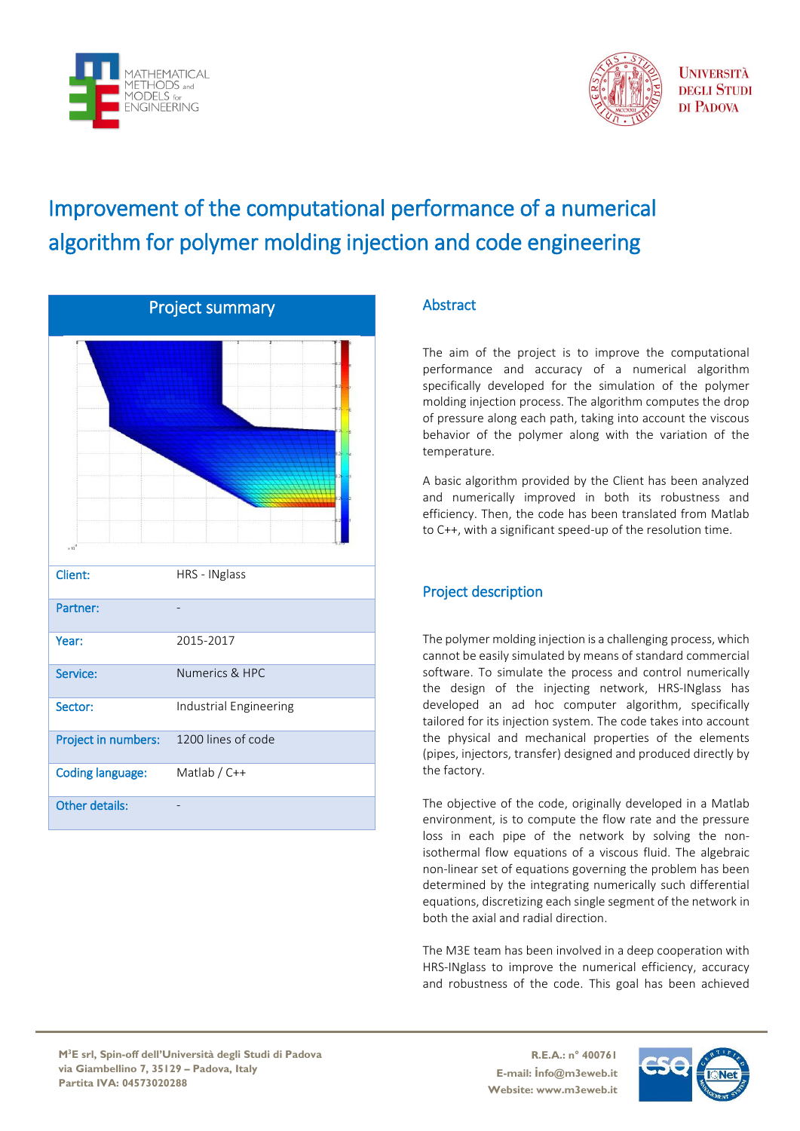



**UNIVERSITÀ DEGLI STUDI** DI PADOVA

## Improvement of the computational performance of a numerical algorithm for polymer molding injection and code engineering

| <b>Project summary</b>  |                        |  |
|-------------------------|------------------------|--|
|                         |                        |  |
| r if                    |                        |  |
| <b>Client:</b>          | HRS - INglass          |  |
| Partner:                |                        |  |
| Year:                   | 2015-2017              |  |
| Service:                | Numerics & HPC         |  |
| Sector:                 | Industrial Engineering |  |
| Project in numbers:     | 1200 lines of code     |  |
| <b>Coding language:</b> | Matlab / C++           |  |
| <b>Other details:</b>   |                        |  |

## **Abstract**

The aim of the project is to improve the computational performance and accuracy of a numerical algorithm specifically developed for the simulation of the polymer molding injection process. The algorithm computes the drop of pressure along each path, taking into account the viscous behavior of the polymer along with the variation of the temperature.

A basic algorithm provided by the Client has been analyzed and numerically improved in both its robustness and efficiency. Then, the code has been translated from Matlab to C++, with a significant speed-up of the resolution time.

## Project description

The polymer molding injection is a challenging process, which cannot be easily simulated by means of standard commercial software. To simulate the process and control numerically the design of the injecting network, HRS-INglass has developed an ad hoc computer algorithm, specifically tailored for its injection system. The code takes into account the physical and mechanical properties of the elements (pipes, injectors, transfer) designed and produced directly by the factory.

The objective of the code, originally developed in a Matlab environment, is to compute the flow rate and the pressure loss in each pipe of the network by solving the nonisothermal flow equations of a viscous fluid. The algebraic non-linear set of equations governing the problem has been determined by the integrating numerically such differential equations, discretizing each single segment of the network in both the axial and radial direction.

The M3E team has been involved in a deep cooperation with HRS-INglass to improve the numerical efficiency, accuracy and robustness of the code. This goal has been achieved